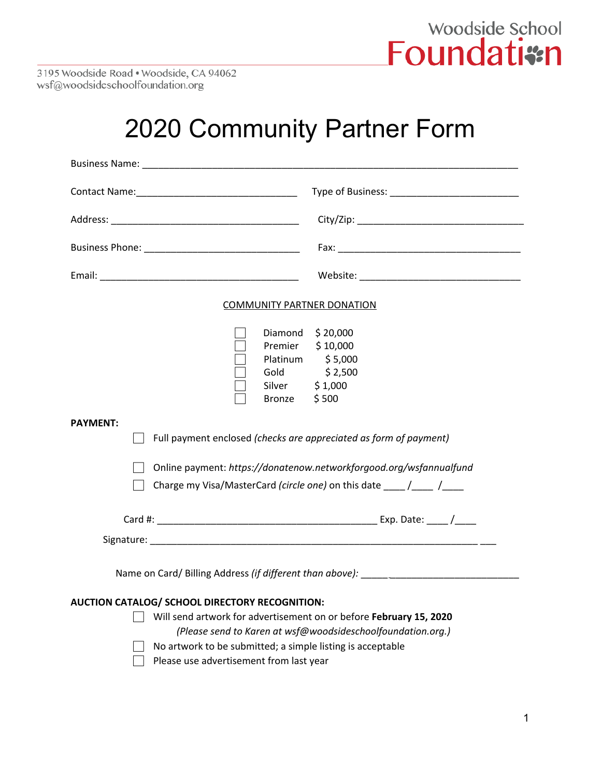

3195 Woodside Road · Woodside, CA 94062 wsf@woodsideschoolfoundation.org

### 2020 Community Partner Form

| <b>COMMUNITY PARTNER DONATION</b>                                                                                                                                                                                                                                                            |                                                                                   |
|----------------------------------------------------------------------------------------------------------------------------------------------------------------------------------------------------------------------------------------------------------------------------------------------|-----------------------------------------------------------------------------------|
| Silver \$1,000<br>Bronze $$500$                                                                                                                                                                                                                                                              | Diamond $$20,000$<br>Premier \$10,000<br>Platinum \$5,000<br>Gold \$2,500         |
| <b>PAYMENT:</b><br>Full payment enclosed (checks are appreciated as form of payment)<br>Online payment: https://donatenow.networkforgood.org/wsfannualfund<br>Charge my Visa/MasterCard (circle one) on this date $\frac{1}{\sqrt{1-\frac{1}{n}}}$                                           |                                                                                   |
|                                                                                                                                                                                                                                                                                              |                                                                                   |
|                                                                                                                                                                                                                                                                                              | Name on Card/ Billing Address (if different than above): ________________________ |
| AUCTION CATALOG/ SCHOOL DIRECTORY RECOGNITION:<br>Will send artwork for advertisement on or before February 15, 2020<br>(Please send to Karen at wsf@woodsideschoolfoundation.org.)<br>No artwork to be submitted; a simple listing is acceptable<br>Please use advertisement from last year |                                                                                   |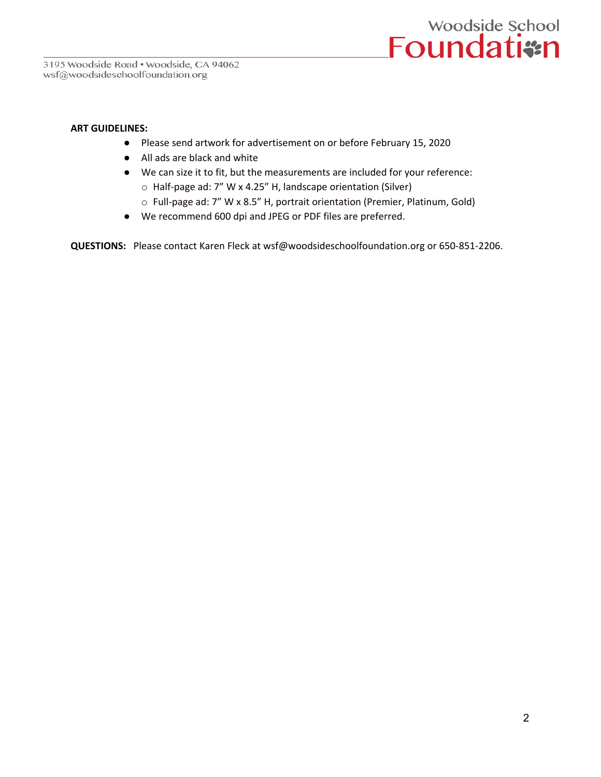

#### **ART GUIDELINES:**

- Please send artwork for advertisement on or before February 15, 2020
- All ads are black and white
- We can size it to fit, but the measurements are included for your reference: o Half-page ad: 7" W x 4.25" H, landscape orientation (Silver)
	- o Full-page ad: 7" W x 8.5" H, portrait orientation (Premier, Platinum, Gold)
- We recommend 600 dpi and JPEG or PDF files are preferred.

**QUESTIONS:** Please contact Karen Fleck at wsf@woodsideschoolfoundation.org or 650-851-2206.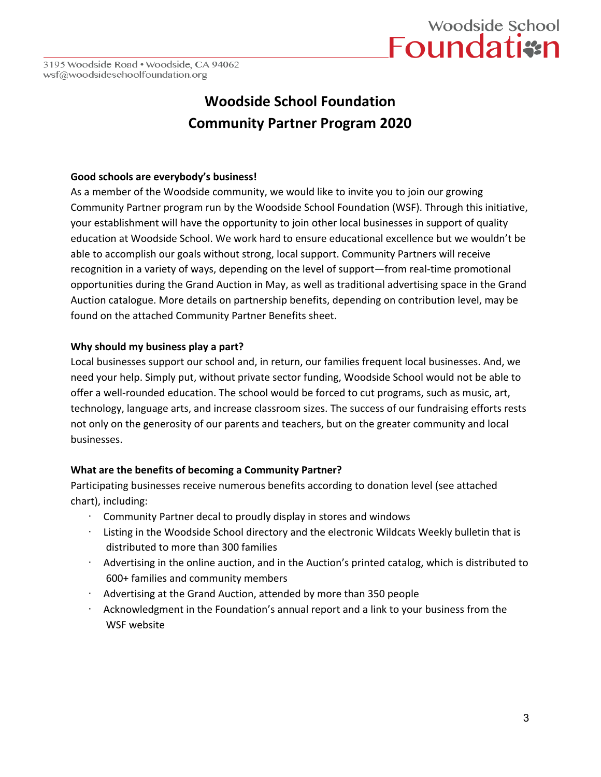# woodside School<br>Foundatism

3195 Woodside Road . Woodside, CA 94062 wsf@woodsideschoolfoundation.org

### **Woodside School Foundation Community Partner Program 2020**

#### **Good schools are everybody's business!**

As a member of the Woodside community, we would like to invite you to join our growing Community Partner program run by the Woodside School Foundation (WSF). Through this initiative, your establishment will have the opportunity to join other local businesses in support of quality education at Woodside School. We work hard to ensure educational excellence but we wouldn't be able to accomplish our goals without strong, local support. Community Partners will receive recognition in a variety of ways, depending on the level of support—from real-time promotional opportunities during the Grand Auction in May, as well as traditional advertising space in the Grand Auction catalogue. More details on partnership benefits, depending on contribution level, may be found on the attached Community Partner Benefits sheet.

#### **Why should my business play a part?**

Local businesses support our school and, in return, our families frequent local businesses. And, we need your help. Simply put, without private sector funding, Woodside School would not be able to offer a well-rounded education. The school would be forced to cut programs, such as music, art, technology, language arts, and increase classroom sizes. The success of our fundraising efforts rests not only on the generosity of our parents and teachers, but on the greater community and local businesses.

#### **What are the benefits of becoming a Community Partner?**

Participating businesses receive numerous benefits according to donation level (see attached chart), including:

- · Community Partner decal to proudly display in stores and windows
- Listing in the Woodside School directory and the electronic Wildcats Weekly bulletin that is distributed to more than 300 families
- · Advertising in the online auction, and in the Auction's printed catalog, which is distributed to 600+ families and community members
- · Advertising at the Grand Auction, attended by more than 350 people
- Acknowledgment in the Foundation's annual report and a link to your business from the WSF website